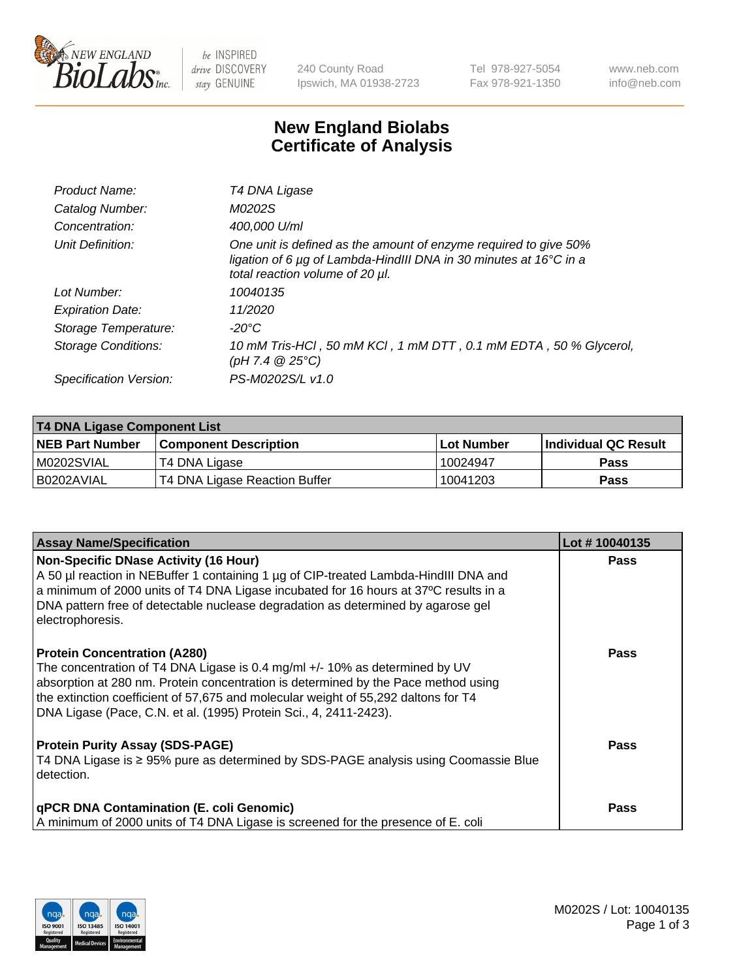

 $be$  INSPIRED drive DISCOVERY stay GENUINE

240 County Road Ipswich, MA 01938-2723 Tel 978-927-5054 Fax 978-921-1350 www.neb.com info@neb.com

## **New England Biolabs Certificate of Analysis**

| Product Name:           | T4 DNA Ligase                                                                                                                                                            |
|-------------------------|--------------------------------------------------------------------------------------------------------------------------------------------------------------------------|
| Catalog Number:         | M0202S                                                                                                                                                                   |
| Concentration:          | 400,000 U/ml                                                                                                                                                             |
| Unit Definition:        | One unit is defined as the amount of enzyme required to give 50%<br>ligation of 6 µg of Lambda-HindIII DNA in 30 minutes at 16°C in a<br>total reaction volume of 20 µl. |
| Lot Number:             | 10040135                                                                                                                                                                 |
| <b>Expiration Date:</b> | 11/2020                                                                                                                                                                  |
| Storage Temperature:    | $-20^{\circ}$ C                                                                                                                                                          |
| Storage Conditions:     | 10 mM Tris-HCl, 50 mM KCl, 1 mM DTT, 0.1 mM EDTA, 50 % Glycerol,<br>(pH 7.4 $@25°C$ )                                                                                    |
| Specification Version:  | PS-M0202S/L v1.0                                                                                                                                                         |

| T4 DNA Ligase Component List |                               |              |                             |  |
|------------------------------|-------------------------------|--------------|-----------------------------|--|
| <b>NEB Part Number</b>       | <b>Component Description</b>  | l Lot Number | <b>Individual QC Result</b> |  |
| M0202SVIAL                   | T4 DNA Ligase                 | 10024947     | <b>Pass</b>                 |  |
| I B0202AVIAL                 | T4 DNA Ligase Reaction Buffer | 10041203     | <b>Pass</b>                 |  |

| <b>Assay Name/Specification</b>                                                                                                                                                                                                                                                                                                                                     | Lot #10040135 |
|---------------------------------------------------------------------------------------------------------------------------------------------------------------------------------------------------------------------------------------------------------------------------------------------------------------------------------------------------------------------|---------------|
| <b>Non-Specific DNase Activity (16 Hour)</b><br>A 50 µl reaction in NEBuffer 1 containing 1 µg of CIP-treated Lambda-HindIII DNA and<br>$\vert$ a minimum of 2000 units of T4 DNA Ligase incubated for 16 hours at 37°C results in a<br>DNA pattern free of detectable nuclease degradation as determined by agarose gel<br>electrophoresis.                        | <b>Pass</b>   |
| <b>Protein Concentration (A280)</b><br>The concentration of T4 DNA Ligase is 0.4 mg/ml +/- 10% as determined by UV<br>absorption at 280 nm. Protein concentration is determined by the Pace method using<br>the extinction coefficient of 57,675 and molecular weight of 55,292 daltons for T4<br>DNA Ligase (Pace, C.N. et al. (1995) Protein Sci., 4, 2411-2423). | Pass          |
| <b>Protein Purity Assay (SDS-PAGE)</b><br>T4 DNA Ligase is ≥ 95% pure as determined by SDS-PAGE analysis using Coomassie Blue<br>detection.                                                                                                                                                                                                                         | Pass          |
| <b>qPCR DNA Contamination (E. coli Genomic)</b><br>A minimum of 2000 units of T4 DNA Ligase is screened for the presence of E. coli                                                                                                                                                                                                                                 | <b>Pass</b>   |

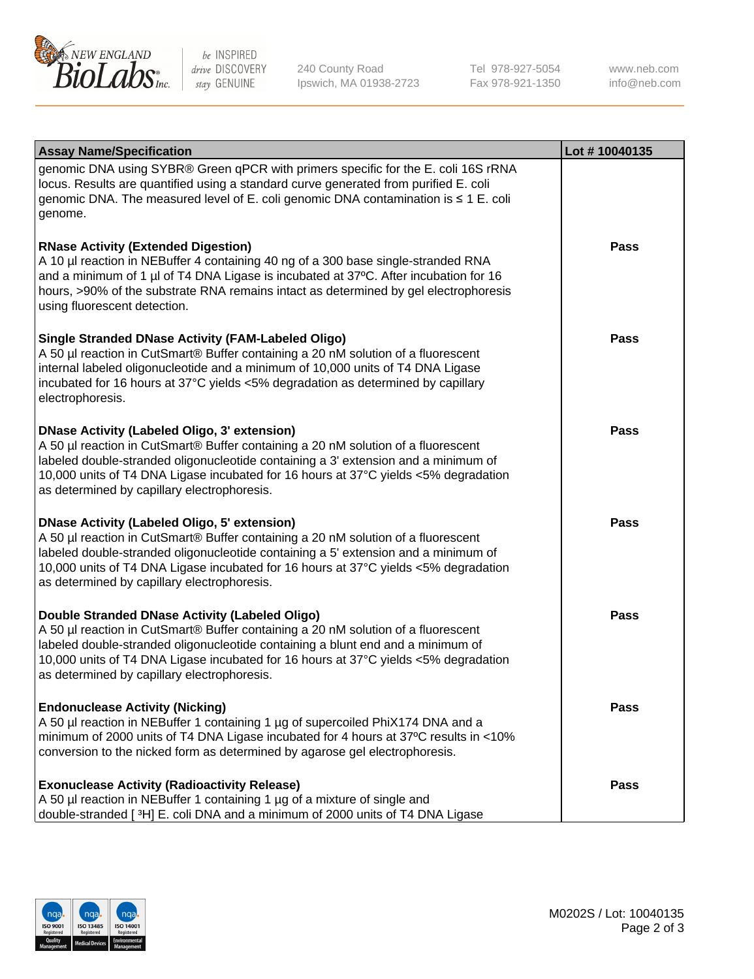

be INSPIRED drive DISCOVERY stay GENUINE

240 County Road Ipswich, MA 01938-2723 Tel 978-927-5054 Fax 978-921-1350 www.neb.com info@neb.com

| <b>Assay Name/Specification</b>                                                                                                                                                                                                                                                                                                                                      | Lot #10040135 |
|----------------------------------------------------------------------------------------------------------------------------------------------------------------------------------------------------------------------------------------------------------------------------------------------------------------------------------------------------------------------|---------------|
| genomic DNA using SYBR® Green qPCR with primers specific for the E. coli 16S rRNA<br>locus. Results are quantified using a standard curve generated from purified E. coli<br>genomic DNA. The measured level of E. coli genomic DNA contamination is ≤ 1 E. coli<br>genome.                                                                                          |               |
| <b>RNase Activity (Extended Digestion)</b><br>A 10 µl reaction in NEBuffer 4 containing 40 ng of a 300 base single-stranded RNA<br>and a minimum of 1 µl of T4 DNA Ligase is incubated at 37°C. After incubation for 16<br>hours, >90% of the substrate RNA remains intact as determined by gel electrophoresis<br>using fluorescent detection.                      | <b>Pass</b>   |
| <b>Single Stranded DNase Activity (FAM-Labeled Oligo)</b><br>A 50 µl reaction in CutSmart® Buffer containing a 20 nM solution of a fluorescent<br>internal labeled oligonucleotide and a minimum of 10,000 units of T4 DNA Ligase<br>incubated for 16 hours at 37°C yields <5% degradation as determined by capillary<br>electrophoresis.                            | <b>Pass</b>   |
| <b>DNase Activity (Labeled Oligo, 3' extension)</b><br>A 50 µl reaction in CutSmart® Buffer containing a 20 nM solution of a fluorescent<br>labeled double-stranded oligonucleotide containing a 3' extension and a minimum of<br>10,000 units of T4 DNA Ligase incubated for 16 hours at 37°C yields <5% degradation<br>as determined by capillary electrophoresis. | <b>Pass</b>   |
| <b>DNase Activity (Labeled Oligo, 5' extension)</b><br>A 50 µl reaction in CutSmart® Buffer containing a 20 nM solution of a fluorescent<br>labeled double-stranded oligonucleotide containing a 5' extension and a minimum of<br>10,000 units of T4 DNA Ligase incubated for 16 hours at 37°C yields <5% degradation<br>as determined by capillary electrophoresis. | <b>Pass</b>   |
| Double Stranded DNase Activity (Labeled Oligo)<br>A 50 µl reaction in CutSmart® Buffer containing a 20 nM solution of a fluorescent<br>labeled double-stranded oligonucleotide containing a blunt end and a minimum of<br>10,000 units of T4 DNA Ligase incubated for 16 hours at 37°C yields <5% degradation<br>as determined by capillary electrophoresis.         | Pass          |
| <b>Endonuclease Activity (Nicking)</b><br>A 50 µl reaction in NEBuffer 1 containing 1 µg of supercoiled PhiX174 DNA and a<br>minimum of 2000 units of T4 DNA Ligase incubated for 4 hours at 37°C results in <10%<br>conversion to the nicked form as determined by agarose gel electrophoresis.                                                                     | <b>Pass</b>   |
| <b>Exonuclease Activity (Radioactivity Release)</b><br>A 50 µl reaction in NEBuffer 1 containing 1 µg of a mixture of single and<br>double-stranded [3H] E. coli DNA and a minimum of 2000 units of T4 DNA Ligase                                                                                                                                                    | <b>Pass</b>   |